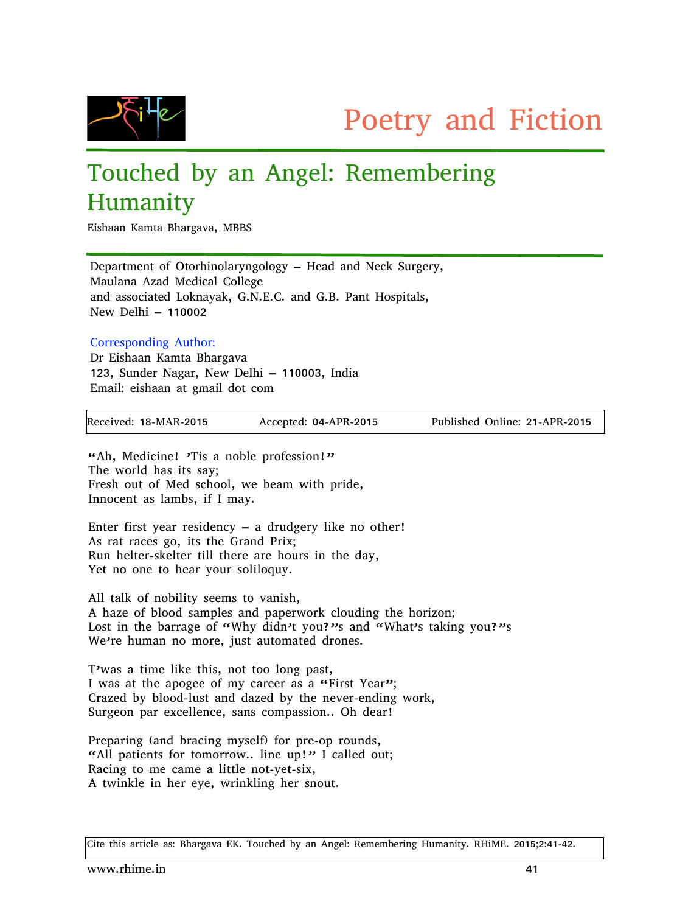

## Touched by an Angel: Remembering Humanity

Eishaan Kamta Bhargava, MBBS

Department of Otorhinolaryngology – Head and Neck Surgery, Maulana Azad Medical College and associated Loknayak, G.N.E.C. and G.B. Pant Hospitals, New Delhi – 110002

## Corresponding Author:

Dr Eishaan Kamta Bhargava 123, Sunder Nagar, New Delhi – 110003, India Email: eishaan at gmail dot com

| Received: 18-MAR-2015 | Accepted: 04-APR-2015 | Published Online: 21-APR-2015 |
|-----------------------|-----------------------|-------------------------------|
|                       |                       |                               |

"Ah, Medicine! 'Tis a noble profession!" The world has its say; Fresh out of Med school, we beam with pride, Innocent as lambs, if I may.

Enter first year residency – a drudgery like no other! As rat races go, its the Grand Prix; Run helter-skelter till there are hours in the day, Yet no one to hear your soliloquy.

All talk of nobility seems to vanish, A haze of blood samples and paperwork clouding the horizon; Lost in the barrage of "Why didn't you?"s and "What's taking you?"s We're human no more, just automated drones.

T'was a time like this, not too long past, I was at the apogee of my career as a "First Year"; Crazed by blood-lust and dazed by the never-ending work, Surgeon par excellence, sans compassion.. Oh dear!

Preparing (and bracing myself) for pre-op rounds, "All patients for tomorrow.. line up!" I called out; Racing to me came a little not-yet-six, A twinkle in her eye, wrinkling her snout.

Cite this article as: Bhargava EK. Touched by an Angel: Remembering Humanity. RHiME. 2015;2:41-42.